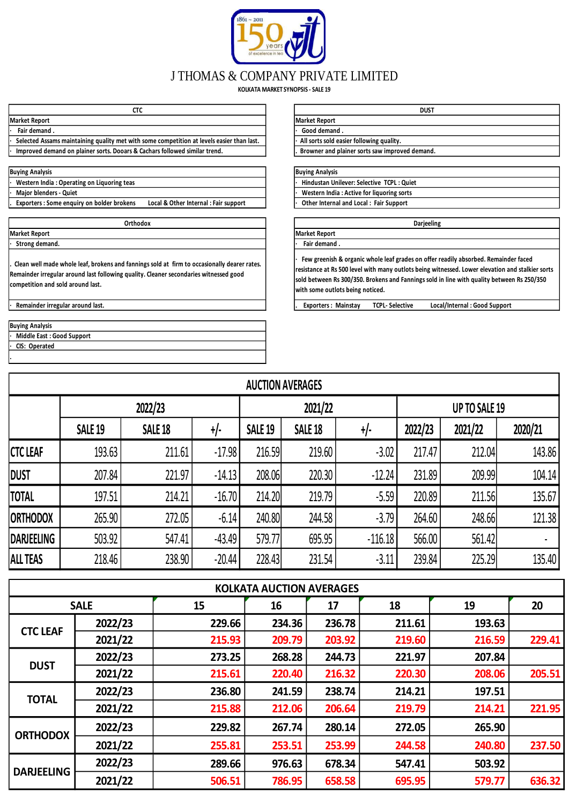

## J THOMAS & COMPANY PRIVATE LIMITED

**KOLKATA MARKET SYNOPSIS - SALE 19**

| ~~<br>ぃぃ             |                      |
|----------------------|----------------------|
| <b>Market Report</b> | <b>Market Report</b> |
| Fair demand.         | Good demand.         |

Selected Assams maintaining quality met with some competition at levels easier than last. **· Improved demand on plainer sorts. Dooars & Cachars followed similar trend. . Browner and plainer sorts saw improved demand.**

| <b>Buying Analysis</b> |  |
|------------------------|--|
|                        |  |

**Western India : Operating on Liquoring teas Major blenders - Quiet** 

**Exporters : Some enquiry on bolder brokens** Local & Other Internal : Fair support

**Market Report Market Report**

**· Strong demand. ·** *• • • • • • • • • • • • • • •* **•** *•* **• • • • • • • • • • • • • • • • •** 

**. Clean well made whole leaf, brokens and fannings sold at firm to occasionally dearer rates. Remainder irregular around last following quality. Cleaner secondaries witnessed good competition and sold around last.**

|   | <b>Buying Analysis</b>      |
|---|-----------------------------|
|   | · Middle East: Good Support |
|   | · CIS: Operated             |
| ٠ |                             |

| стс                                              | <b>DUST</b>                                    |
|--------------------------------------------------|------------------------------------------------|
|                                                  | <b>Market Report</b>                           |
|                                                  | Good demand.                                   |
| ith some competition at levels easier than last. | All sorts sold easier following quality.       |
| & Cachars followed similar trend.                | Browner and plainer sorts saw improved demand. |

## **Buying Analysis Buying Analysis**

| Hindustan Unilever: Selective TCPL: Quiet |
|-------------------------------------------|
| Western India: Active for liquoring sorts |
| Other Internal and Local: Fair Support    |

**Orthodox Darjeeling**

**· Few greenish & organic whole leaf grades on offer readily absorbed. Remainder faced resistance at Rs 500 level with many outlots being witnessed. Lower elevation and stalkier sorts sold between Rs 300/350. Brokens and Fannings sold in line with quality between Rs 250/350 with some outlots being noticed.**

**· Remainder irregular around last. . Exporters : Mainstay TCPL- Selective Local/Internal : Good Support** 

|                   | <b>AUCTION AVERAGES</b> |                |          |                |                |           |               |         |         |  |  |  |  |  |  |
|-------------------|-------------------------|----------------|----------|----------------|----------------|-----------|---------------|---------|---------|--|--|--|--|--|--|
|                   |                         | 2022/23        |          |                | 2021/22        |           | UP TO SALE 19 |         |         |  |  |  |  |  |  |
|                   | <b>SALE 19</b>          | <b>SALE 18</b> | +/-      | <b>SALE 19</b> | <b>SALE 18</b> | +/-       | 2022/23       | 2021/22 | 2020/21 |  |  |  |  |  |  |
| <b>CTC LEAF</b>   | 193.63                  | 211.61         | $-17.98$ | 216.59         | 219.60         | $-3.02$   | 217.47        | 212.04  | 143.86  |  |  |  |  |  |  |
| <b>DUST</b>       | 207.84                  | 221.97         | $-14.13$ | 208.06         | 220.30         | $-12.24$  | 231.89        | 209.99  | 104.14  |  |  |  |  |  |  |
| <b>TOTAL</b>      | 197.51                  | 214.21         | $-16.70$ | 214.20         | 219.79         | $-5.59$   | 220.89        | 211.56  | 135.67  |  |  |  |  |  |  |
| <b>ORTHODOX</b>   | 265.90                  | 272.05         | $-6.14$  | 240.80         | 244.58         | $-3.79$   | 264.60        | 248.66  | 121.38  |  |  |  |  |  |  |
| <b>DARJEELING</b> | 503.92                  | 547.41         | $-43.49$ | 579.77         | 695.95         | $-116.18$ | 566.00        | 561.42  |         |  |  |  |  |  |  |
| <b>ALL TEAS</b>   | 218.46                  | 238.90         | $-20.44$ | 228.43         | 231.54         | $-3.11$   | 239.84        | 225.29  | 135.40  |  |  |  |  |  |  |

|                   | <b>KOLKATA AUCTION AVERAGES</b> |        |        |        |                                                                                                  |        |        |  |  |  |  |  |  |  |
|-------------------|---------------------------------|--------|--------|--------|--------------------------------------------------------------------------------------------------|--------|--------|--|--|--|--|--|--|--|
|                   | <b>SALE</b>                     | 15     | 16     | 17     | 18                                                                                               | 19     | 20     |  |  |  |  |  |  |  |
| <b>CTC LEAF</b>   | 2022/23                         | 229.66 | 234.36 | 236.78 | 211.61                                                                                           | 193.63 |        |  |  |  |  |  |  |  |
|                   | 2021/22                         | 215.93 | 209.79 | 203.92 | 219.60<br>216.59<br>207.84<br>221.97<br>220.30<br>208.06<br>197.51<br>214.21<br>219.79<br>214.21 | 229.41 |        |  |  |  |  |  |  |  |
|                   | 2022/23                         | 273.25 | 268.28 | 244.73 |                                                                                                  |        |        |  |  |  |  |  |  |  |
| <b>DUST</b>       | 2021/22                         | 215.61 | 220.40 | 216.32 |                                                                                                  |        | 205.51 |  |  |  |  |  |  |  |
| <b>TOTAL</b>      | 2022/23                         | 236.80 | 241.59 | 238.74 |                                                                                                  |        |        |  |  |  |  |  |  |  |
|                   | 2021/22                         | 215.88 | 212.06 | 206.64 |                                                                                                  |        | 221.95 |  |  |  |  |  |  |  |
|                   | 2022/23                         | 229.82 | 267.74 | 280.14 | 272.05                                                                                           | 265.90 |        |  |  |  |  |  |  |  |
| <b>ORTHODOX</b>   | 2021/22                         | 255.81 | 253.51 | 253.99 | 244.58                                                                                           | 240.80 | 237.50 |  |  |  |  |  |  |  |
|                   | 2022/23                         | 289.66 | 976.63 | 678.34 | 547.41                                                                                           | 503.92 |        |  |  |  |  |  |  |  |
| <b>DARJEELING</b> | 2021/22                         | 506.51 | 786.95 | 658.58 | 695.95                                                                                           | 579.77 | 636.32 |  |  |  |  |  |  |  |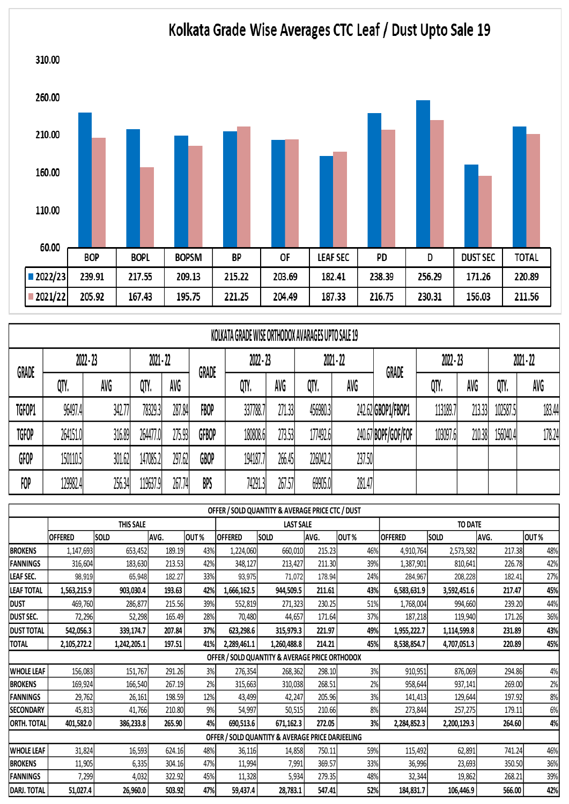

|              | KOLKATA GRADE WISE ORTHODOX AVARAGES UPTO SALE 19 |             |          |             |              |             |        |             |        |                     |             |        |             |        |
|--------------|---------------------------------------------------|-------------|----------|-------------|--------------|-------------|--------|-------------|--------|---------------------|-------------|--------|-------------|--------|
| <b>GRADE</b> |                                                   | $2022 - 23$ |          | $2021 - 22$ | GRADE        | $2022 - 23$ |        | $2021 - 22$ |        | GRADE               | $2022 - 23$ |        | $2021 - 22$ |        |
|              | QTY.                                              | AVG         | QTY.     | AVG         |              | QTY.        | AVG    | QTY.        | AVG    |                     | QTY.        | AVG    | QTY.        | AVG    |
| TGFOP1       | 96497.4                                           | 342.77      | 78329.3  | 287.84      | FBOP         | 337788.7    | 271.33 | 456980.3    |        | 242.62 GBOP1/FBOP1  | 113189.7    | 213.33 | 102587.5    | 183.44 |
| <b>TGFOP</b> | 264151.0                                          | 316.89      | 264477.0 | 275.93      | <b>GFBOP</b> | 180808.6    | 273.53 | 177492.6    |        | 240.67 BOPF/GOF/FOF | 103097.6    | 210.38 | 156040.4    | 178.24 |
| GFOP         | 150110.5                                          | 301.62      | 147085.2 | 297.62      | GBOP         | 194187.7    | 266.45 | 226042.2    | 237.50 |                     |             |        |             |        |
| FOP          | 129982.4                                          | 256.34      | 119637.9 | 267.74      | BPS          | 74291.3     | 267.57 | 69905.0     | 281.47 |                     |             |        |             |        |

|                   | OFFER / SOLD QUANTITY & AVERAGE PRICE CTC / DUST |             |        |      |                |                                                  |        |      |                |                |        |      |  |  |
|-------------------|--------------------------------------------------|-------------|--------|------|----------------|--------------------------------------------------|--------|------|----------------|----------------|--------|------|--|--|
|                   |                                                  | THIS SALE   |        |      |                | <b>LAST SALE</b>                                 |        |      |                | <b>TO DATE</b> |        |      |  |  |
|                   | <b>OFFERED</b>                                   | SOLD        | AVG.   | OUT% | <b>OFFERED</b> | SOLD                                             | AVG.   | OUT% | <b>OFFERED</b> | SOLD           | AVG.   | OUT% |  |  |
| <b>BROKENS</b>    | 1,147,693                                        | 653,452     | 189.19 | 43%  | 1,224,060      | 660,010                                          | 215.23 | 46%  | 4,910,764      | 2,573,582      | 217.38 | 48%  |  |  |
| FANNINGS          | 316,604                                          | 183,630     | 213.53 | 42%  | 348,127        | 213,427                                          | 211.30 | 39%  | 1,387,901      | 810,641        | 226.78 | 42%  |  |  |
| LEAF SEC.         | 98,919                                           | 65,948      | 182.27 | 33%  | 93,975         | 71,072                                           | 178.94 | 24%  | 284,967        | 208,228        | 182.41 | 27%  |  |  |
| <b>LEAF TOTAL</b> | 1,563,215.9                                      | 903,030.4   | 193.63 | 42%  | 1,666,162.5    | 944,509.5                                        | 211.61 | 43%  | 6,583,631.9    | 3,592,451.6    | 217.47 | 45%  |  |  |
| <b>DUST</b>       | 469,760                                          | 286,877     | 215.56 | 39%  | 552,819        | 271,323                                          | 230.25 | 51%  | 1,768,004      | 994,660        | 239.20 | 44%  |  |  |
| <b>DUST SEC.</b>  | 72,296                                           | 52,298      | 165.49 | 28%  | 70,480         | 44,657                                           | 171.64 | 37%  | 187,218        | 119,940        | 171.26 | 36%  |  |  |
| <b>DUST TOTAL</b> | 542,056.3                                        | 339,174.7   | 207.84 | 37%  | 623,298.6      | 315,979.3                                        | 221.97 | 49%  | 1,955,222.7    | 1,114,599.8    | 231.89 | 43%  |  |  |
| <b>TOTAL</b>      | 2,105,272.2                                      | 1,242,205.1 | 197.51 | 41%  | 2,289,461.1    | 1,260,488.8                                      | 214.21 | 45%  | 8,538,854.7    | 4,707,051.3    | 220.89 | 45%  |  |  |
|                   |                                                  |             |        |      |                | OFFER / SOLD QUANTITY & AVERAGE PRICE ORTHODOX   |        |      |                |                |        |      |  |  |
| <b>WHOLE LEAF</b> | 156,083                                          | 151,767     | 291.26 | 3%   | 276,354        | 268,362                                          | 298.10 | 3%   | 910,951        | 876,069        | 294.86 | 4%   |  |  |
| <b>BROKENS</b>    | 169,924                                          | 166,540     | 267.19 | 2%   | 315,663        | 310,038                                          | 268.51 | 2%   | 958,644        | 937,141        | 269.00 | 2%   |  |  |
| FANNINGS          | 29,762                                           | 26,161      | 198.59 | 12%  | 43,499         | 42,247                                           | 205.96 | 3%   | 141,413        | 129,644        | 197.92 | 8%   |  |  |
| <b>SECONDARY</b>  | 45,813                                           | 41,766      | 210.80 | 9%   | 54,997         | 50,515                                           | 210.66 | 8%   | 273,844        | 257,275        | 179.11 | 6%   |  |  |
| ORTH. TOTAL       | 401,582.0                                        | 386,233.8   | 265.90 | 4%   | 690,513.6      | 671,162.3                                        | 272.05 | 3%   | 2,284,852.3    | 2,200,129.3    | 264.60 | 4%   |  |  |
|                   |                                                  |             |        |      |                | OFFER / SOLD QUANTITY & AVERAGE PRICE DARJEELING |        |      |                |                |        |      |  |  |
| <b>WHOLE LEAF</b> | 31,824                                           | 16,593      | 624.16 | 48%  | 36,116         | 14,858                                           | 750.11 | 59%  | 115,492        | 62,891         | 741.24 | 46%  |  |  |
| <b>BROKENS</b>    | 11,905                                           | 6,335       | 304.16 | 47%  | 11,994         | 7,991                                            | 369.57 | 33%  | 36,996         | 23,693         | 350.50 | 36%  |  |  |
| FANNINGS          | 7,299                                            | 4,032       | 322.92 | 45%  | 11,328         | 5,934                                            | 279.35 | 48%  | 32,344         | 19,862         | 268.21 | 39%  |  |  |
| DARJ. TOTAL       | 51,027.4                                         | 26,960.0    | 503.92 | 47%  | 59,437.4       | 28,783.1                                         | 547.41 | 52%  | 184,831.7      | 106,446.9      | 566.00 | 42%  |  |  |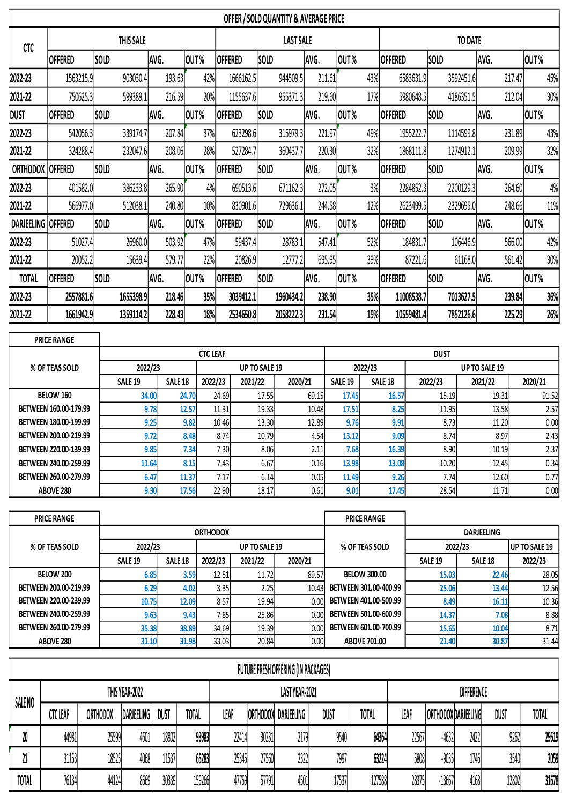|                 | OFFER / SOLD QUANTITY & AVERAGE PRICE |             |        |                  |                |             |        |                |                |             |        |      |  |
|-----------------|---------------------------------------|-------------|--------|------------------|----------------|-------------|--------|----------------|----------------|-------------|--------|------|--|
| <b>CTC</b>      |                                       | THIS SALE   |        | <b>LAST SALE</b> |                |             |        | <b>TO DATE</b> |                |             |        |      |  |
|                 | <b>OFFERED</b>                        | <b>SOLD</b> | AVG.   | OUT%             | <b>OFFERED</b> | <b>SOLD</b> | AVG.   | OUT%           | <b>OFFERED</b> | <b>SOLD</b> | AVG.   | OUT% |  |
| 2022-23         | 1563215.9                             | 903030.4    | 193.63 | 42%              | 1666162.5      | 944509.5    | 211.61 | 43%            | 6583631.9      | 3592451.6   | 217.47 | 45%  |  |
| 2021-22         | 750625.3                              | 599389.1    | 216.59 | 20%              | 1155637.6      | 955371.3    | 219.60 | 17%            | 5980648.5      | 4186351.5   | 212.04 | 30%  |  |
| <b>DUST</b>     | <b>OFFERED</b>                        | <b>SOLD</b> | AVG.   | OUT%             | <b>OFFERED</b> | <b>SOLD</b> | AVG.   | OUT%           | <b>OFFERED</b> | <b>SOLD</b> | AVG.   | OUT% |  |
| 2022-23         | 542056.3                              | 339174.7    | 207.84 | 37%              | 623298.6       | 315979.3    | 221.97 | 49%            | 1955222.7      | 1114599.8   | 231.89 | 43%  |  |
| 2021-22         | 324288.4                              | 232047.6    | 208.06 | 28%              | 527284.7       | 360437.7    | 220.30 | 32%            | 1868111.8      | 1274912.1   | 209.99 | 32%  |  |
| <b>ORTHODOX</b> | <b>OFFERED</b>                        | <b>SOLD</b> | AVG.   | OUT%             | <b>OFFERED</b> | <b>SOLD</b> | AVG.   | OUT%           | <b>OFFERED</b> | <b>SOLD</b> | AVG.   | OUT% |  |
| 2022-23         | 401582.0                              | 386233.8    | 265.90 | 4%               | 690513.6       | 671162.3    | 272.05 | 3%             | 2284852.3      | 2200129.3   | 264.60 | 4%   |  |
| 2021-22         | 566977.0                              | 512038.1    | 240.80 | 10%              | 830901.6       | 729636.1    | 244.58 | 12%            | 2623499.5      | 2329695.0   | 248.66 | 11%  |  |
| DARJEELING      | <b>OFFERED</b>                        | <b>SOLD</b> | AVG.   | OUT%             | <b>OFFERED</b> | <b>SOLD</b> | AVG.   | OUT%           | <b>OFFERED</b> | <b>SOLD</b> | AVG.   | OUT% |  |
| 2022-23         | 51027.4                               | 26960.0     | 503.92 | 47%              | 59437.4        | 28783.1     | 547.41 | 52%            | 184831.7       | 106446.9    | 566.00 | 42%  |  |
| 2021-22         | 20052.2                               | 15639.4     | 579.77 | 22%              | 20826.9        | 12777.2     | 695.95 | 39%            | 87221.6        | 61168.0     | 561.42 | 30%  |  |
| <b>TOTAL</b>    | <b>OFFERED</b>                        | <b>SOLD</b> | AVG.   | OUT%             | <b>OFFERED</b> | <b>SOLD</b> | AVG.   | OUT%           | <b>OFFERED</b> | <b>SOLD</b> | AVG.   | OUT% |  |
| 2022-23         | 2557881.6                             | 1655398.9   | 218.46 | 35%              | 3039412.1      | 1960434.2   | 238.90 | 35%            | 11008538.7     | 7013627.5   | 239.84 | 36%  |  |
| 2021-22         | 1661942.9                             | 1359114.2   | 228.43 | 18%              | 2534650.8      | 2058222.3   | 231.54 | 19%            | 10559481.4     | 7852126.6   | 225.29 | 26%  |  |

| <b>PRICE RANGE</b>    |                |                    |                 |                      |         |                |                    |         |                      |         |  |  |  |
|-----------------------|----------------|--------------------|-----------------|----------------------|---------|----------------|--------------------|---------|----------------------|---------|--|--|--|
|                       |                |                    | <b>CTC LEAF</b> |                      |         |                | <b>DUST</b>        |         |                      |         |  |  |  |
| % OF TEAS SOLD        | 2022/23        |                    |                 | <b>UP TO SALE 19</b> |         |                | 2022/23            |         | <b>UP TO SALE 19</b> |         |  |  |  |
|                       | <b>SALE 19</b> | SALE <sub>18</sub> | 2022/23         | 2021/22              | 2020/21 | <b>SALE 19</b> | SALE <sub>18</sub> | 2022/23 | 2021/22              | 2020/21 |  |  |  |
| <b>BELOW 160</b>      | 34.00          | 24.70              | 24.69           | 17.55                | 69.15   | 17.45          | 16.57              | 15.19   | 19.31                | 91.52   |  |  |  |
| BETWEEN 160.00-179.99 | 9.78           | 12.57              | 11.31           | 19.33                | 10.48   | 17.51          | 8.25               | 11.95   | 13.58                | 2.57    |  |  |  |
| BETWEEN 180.00-199.99 | 9.25           | 9.82               | 10.46           | 13.30                | 12.89   | 9.76           | 9.91               | 8.73    | 11.20                | 0.00    |  |  |  |
| BETWEEN 200.00-219.99 | 9.72           | 8.48               | 8.74            | 10.79                | 4.54    | 13.12          | 9.09               | 8.74    | 8.97                 | 2.43    |  |  |  |
| BETWEEN 220.00-139.99 | 9.85           | 7.34               | 7.30            | 8.06                 | 2.11    | 7.68           | 16.39              | 8.90    | 10.19                | 2.37    |  |  |  |
| BETWEEN 240.00-259.99 | 11.64          | 8.15               | 7.43            | 6.67                 | 0.16    | 13.98          | 13.08              | 10.20   | 12.45                | 0.34    |  |  |  |
| BETWEEN 260.00-279.99 | 6.47           | 11.37              | 7.17            | 6.14                 | 0.05    | 11.49          | 9.26               | 7.74    | 12.60                | 0.77    |  |  |  |
| ABOVE 280             | 9.30           | 17.56              | 22.90           | 18.17                | 0.61    | 9.01           | 17.45              | 28.54   | 11.71                | 0.00    |  |  |  |

| <b>PRICE RANGE</b>    |                    |                    |                 |                      |         | <b>PRICE RANGE</b>    |                   |                      |         |  |
|-----------------------|--------------------|--------------------|-----------------|----------------------|---------|-----------------------|-------------------|----------------------|---------|--|
|                       |                    |                    | <b>ORTHODOX</b> |                      |         |                       | <b>DARJEELING</b> |                      |         |  |
| % OF TEAS SOLD        | 2022/23            |                    |                 | <b>UP TO SALE 19</b> |         | % OF TEAS SOLD        | 2022/23           | <b>UP TO SALE 19</b> |         |  |
|                       | SALE <sub>19</sub> | SALE <sub>18</sub> | 2022/23         | 2021/22              | 2020/21 |                       | <b>SALE 19</b>    | SALE <sub>18</sub>   | 2022/23 |  |
| <b>BELOW 200</b>      | 6.85               | 3.59               | 12.51           | 11.72                | 89.57   | <b>BELOW 300.00</b>   | 15.03             | 22.46                | 28.05   |  |
| BETWEEN 200.00-219.99 | 6.29               | 4.02               | 3.35            | 2.25                 | 10.43   | BETWEEN 301.00-400.99 | 25.06             | 13.44                | 12.56   |  |
| BETWEEN 220.00-239.99 | 10.75              | 12.09              | 8.57            | 19.94                | 0.00    | BETWEEN 401.00-500.99 | 8.49              | 16.11                | 10.36   |  |
| BETWEEN 240.00-259.99 | 9.63               | 9.43               | 7.85            | 25.86                | 0.00    | BETWEEN 501.00-600.99 | 14.37             | 7.08                 | 8.88    |  |
| BETWEEN 260.00-279.99 | 35.38              | 38.89              | 34.69           | 19.39                | 0.00    | BETWEEN 601.00-700.99 | 15.65             | 10.04                | 8.71    |  |
| <b>ABOVE 280</b>      | 31.10              | 31.98              | 33.03           | 20.84                | 0.00    | <b>ABOVE 701.00</b>   | 21.40             | 30.87                | 31.44   |  |

| FUTURE FRESH OFFERING (IN PACKAGES) |                |          |            |       |                |       |       |                     |                   |              |       |                     |      |             |       |
|-------------------------------------|----------------|----------|------------|-------|----------------|-------|-------|---------------------|-------------------|--------------|-------|---------------------|------|-------------|-------|
|                                     | THIS YEAR-2022 |          |            |       | LAST YEAR-2021 |       |       |                     | <b>DIFFERENCE</b> |              |       |                     |      |             |       |
| SALE NO                             | CTC LEAF       | Orthodox | DARJEELING | DUST  | <b>TOTAL</b>   | LEAF  |       | ORTHODOX DARJEELING | DUST              | <b>TOTAL</b> | LEAT  | ORTHODOX DARJEELING |      | <b>DUST</b> | TOTAL |
| 20                                  | 44981          | 25599    | 4601       | 18802 | 93983          | 22414 | 30231 | 2179                | 9540              | 64364        | 22567 | -4632               | 2422 | 9262        | 29619 |
| 21                                  | 31153          | 18525    | 4068       | 11537 | 65283          | 25345 | 27560 | 2322                | 7997              | 63224        | 5808  | -9035               | 1746 | 3540        | 2059  |
| <b>TOTAL</b>                        | 76134          | 44124    | 8669       | 30339 | 159266         | 47759 | 57791 | 4501                | 17537             | 127588       | 28375 | $-13667$            | 4168 | 12802       | 31678 |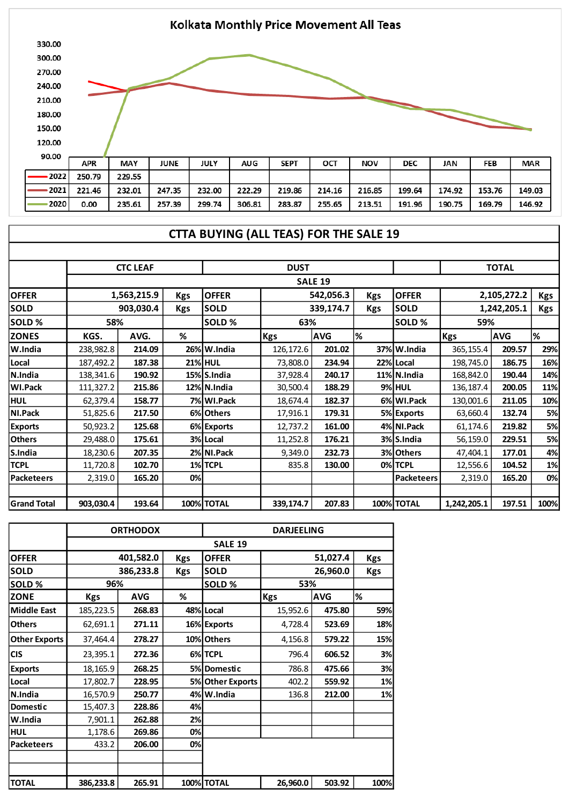

## **CTTA BUYING (ALL TEAS) FOR THE SALE 19**

|                    | <b>CTC LEAF</b>         |             |            |                                         | <b>DUST</b>              |           |            |                   | <b>TOTAL</b> |            |            |
|--------------------|-------------------------|-------------|------------|-----------------------------------------|--------------------------|-----------|------------|-------------------|--------------|------------|------------|
|                    |                         |             |            |                                         | <b>SALE 19</b>           |           |            |                   |              |            |            |
| <b>OFFER</b>       |                         | 1,563,215.9 | <b>Kgs</b> | <b>OFFER</b><br>542,056.3<br><b>Kgs</b> |                          |           |            | <b>OFFER</b>      | 2,105,272.2  |            | <b>Kgs</b> |
| <b>SOLD</b>        | 903,030.4<br><b>Kgs</b> |             |            | <b>SOLD</b>                             |                          | 339,174.7 | <b>Kgs</b> | <b>SOLD</b>       | 1,242,205.1  |            | <b>Kgs</b> |
| SOLD %             | 58%                     |             |            | SOLD %                                  | 63%                      |           |            | SOLD%             | 59%          |            |            |
| <b>ZONES</b>       | KGS.                    | AVG.        | %          |                                         | <b>AVG</b><br><b>Kgs</b> |           | %          |                   | <b>Kgs</b>   | <b>AVG</b> | %          |
| $ W.H$ ndia        | 238,982.8               | 214.09      |            | 26% W.India                             | 126,172.6                | 201.02    |            | 37% W.India       | 365,155.4    | 209.57     | 29%        |
| Local              | 187,492.2               | 187.38      |            | <b>21% HUL</b>                          | 73,808.0                 | 234.94    |            | 22% Local         | 198,745.0    | 186.75     | 16%        |
| N.India            | 138,341.6               | 190.92      |            | 15% S.India                             | 37,928.4                 | 240.17    |            | 11% N.India       | 168,842.0    | 190.44     | 14%        |
| WI.Pack            | 111,327.2               | 215.86      |            | 12% N.India                             | 30,500.4                 | 188.29    |            | <b>9% HUL</b>     | 136,187.4    | 200.05     | <b>11%</b> |
| <b>HUL</b>         | 62,379.4                | 158.77      |            | 7% WI.Pack                              | 18,674.4                 | 182.37    |            | 6% WI.Pack        | 130,001.6    | 211.05     | 10%        |
| NI.Pack            | 51,825.6                | 217.50      |            | 6% Others                               | 17,916.1                 | 179.31    |            | 5% Exports        | 63,660.4     | 132.74     | 5%         |
| <b>Exports</b>     | 50,923.2                | 125.68      |            | 6% Exports                              | 12,737.2                 | 161.00    |            | 4% NI.Pack        | 61,174.6     | 219.82     | 5%         |
| <b>Others</b>      | 29,488.0                | 175.61      |            | 3% Local                                | 11,252.8                 | 176.21    |            | 3% S.India        | 56,159.0     | 229.51     | 5%         |
| S.India            | 18,230.6                | 207.35      |            | 2% NI.Pack                              | 9,349.0                  | 232.73    |            | 3% Others         | 47,404.1     | 177.01     | 4%         |
| <b>TCPL</b>        | 11,720.8                | 102.70      |            | 1%TCPL                                  | 835.8                    | 130.00    |            | 0% TCPL           | 12,556.6     | 104.52     | 1%         |
| <b>Packeteers</b>  | 2,319.0                 | 165.20      | 0%         |                                         |                          |           |            | <b>Packeteers</b> | 2,319.0      | 165.20     | 0%         |
|                    |                         |             |            |                                         |                          |           |            |                   |              |            |            |
| <b>Grand Total</b> | 903,030.4               | 193.64      |            | <b>100% TOTAL</b>                       | 339,174.7                | 207.83    |            | <b>100% TOTAL</b> | 1,242,205.1  | 197.51     | 100%       |

|                      |            | <b>ORTHODOX</b> |            | <b>DARJEELING</b> |            |            |            |  |  |  |
|----------------------|------------|-----------------|------------|-------------------|------------|------------|------------|--|--|--|
|                      |            |                 |            | <b>SALE 19</b>    |            |            |            |  |  |  |
| <b>OFFER</b>         |            | 401,582.0       | <b>Kgs</b> | <b>OFFER</b>      | 51,027.4   |            | <b>Kgs</b> |  |  |  |
| <b>SOLD</b>          |            | 386,233.8       | <b>Kgs</b> | <b>SOLD</b>       |            | <b>Kgs</b> |            |  |  |  |
| SOLD %               | 96%        |                 |            | SOLD%             | 53%        |            |            |  |  |  |
| <b>ZONE</b>          | <b>Kgs</b> | <b>AVG</b>      | %          |                   | <b>Kgs</b> | <b>AVG</b> | %          |  |  |  |
| Middle East          | 185,223.5  | 268.83          |            | 48% Local         | 15,952.6   | 475.80     | 59%        |  |  |  |
| <b>Others</b>        | 62,691.1   | 271.11          |            | 16% Exports       | 4,728.4    | 523.69     | 18%        |  |  |  |
| <b>Other Exports</b> | 37,464.4   | 278.27          |            | 10% Others        | 4,156.8    | 579.22     | 15%        |  |  |  |
| <b>CIS</b>           | 23,395.1   | 272.36          |            | 6%TCPL            | 796.4      | 606.52     | 3%         |  |  |  |
| <b>Exports</b>       | 18,165.9   | 268.25          |            | 5% Domestic       | 786.8      | 475.66     | 3%         |  |  |  |
| Local                | 17,802.7   | 228.95          |            | 5% Other Exports  | 402.2      | 559.92     | 1%         |  |  |  |
| N.India              | 16,570.9   | 250.77          |            | 4% W.India        | 136.8      | 212.00     | 1%         |  |  |  |
| Domestic             | 15,407.3   | 228.86          | 4%         |                   |            |            |            |  |  |  |
| W.India              | 7,901.1    | 262.88          | 2%         |                   |            |            |            |  |  |  |
| <b>HUL</b>           | 1,178.6    | 269.86          | 0%         |                   |            |            |            |  |  |  |
| <b>Packeteers</b>    | 433.2      | 206.00          | 0%         |                   |            |            |            |  |  |  |
|                      |            |                 |            |                   |            |            |            |  |  |  |
|                      |            |                 |            |                   |            |            |            |  |  |  |
| <b>TOTAL</b>         | 386,233.8  | 265.91          |            | 100% TOTAL        | 26,960.0   | 503.92     | 100%       |  |  |  |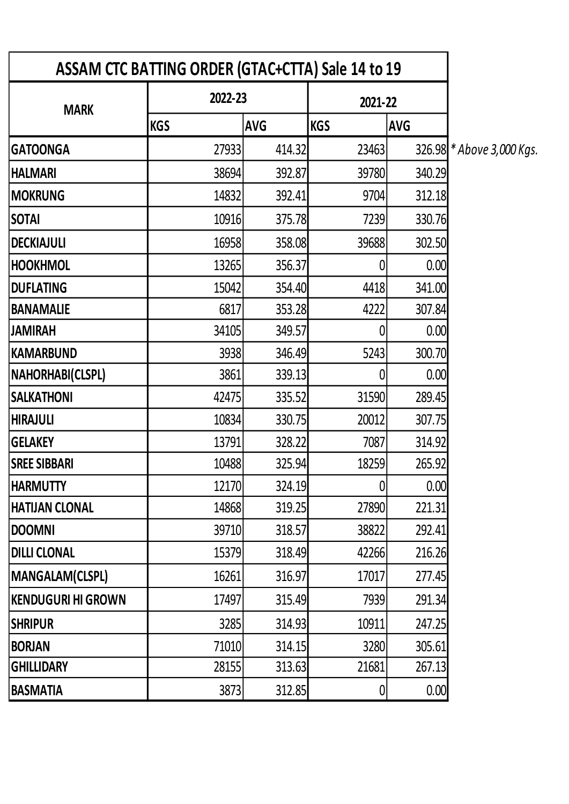| ASSAM CTC BATTING ORDER (GTAC+CTTA) Sale 14 to 19 |            |            |            |            |  |  |  |  |
|---------------------------------------------------|------------|------------|------------|------------|--|--|--|--|
| <b>MARK</b>                                       | 2022-23    |            | 2021-22    |            |  |  |  |  |
|                                                   | <b>KGS</b> | <b>AVG</b> | <b>KGS</b> | <b>AVG</b> |  |  |  |  |
| <b>GATOONGA</b>                                   | 27933      | 414.32     | 23463      | 326.98 *   |  |  |  |  |
| <b>HALMARI</b>                                    | 38694      | 392.87     | 39780      | 340.29     |  |  |  |  |
| <b>MOKRUNG</b>                                    | 14832      | 392.41     | 9704       | 312.18     |  |  |  |  |
| <b>SOTAI</b>                                      | 10916      | 375.78     | 7239       | 330.76     |  |  |  |  |
| <b>DECKIAJULI</b>                                 | 16958      | 358.08     | 39688      | 302.50     |  |  |  |  |
| <b>HOOKHMOL</b>                                   | 13265      | 356.37     |            | 0.00       |  |  |  |  |
| <b>DUFLATING</b>                                  | 15042      | 354.40     | 4418       | 341.00     |  |  |  |  |
| <b>BANAMALIE</b>                                  | 6817       | 353.28     | 4222       | 307.84     |  |  |  |  |
| <b>JAMIRAH</b>                                    | 34105      | 349.57     | 0          | 0.00       |  |  |  |  |
| <b>KAMARBUND</b>                                  | 3938       | 346.49     | 5243       | 300.70     |  |  |  |  |
| <b>NAHORHABI(CLSPL)</b>                           | 3861       | 339.13     | 0          | 0.00       |  |  |  |  |
| <b>SALKATHONI</b>                                 | 42475      | 335.52     | 31590      | 289.45     |  |  |  |  |
| <b>HIRAJULI</b>                                   | 10834      | 330.75     | 20012      | 307.75     |  |  |  |  |
| <b>GELAKEY</b>                                    | 13791      | 328.22     | 7087       | 314.92     |  |  |  |  |
| <b>SREE SIBBARI</b>                               | 10488      | 325.94     | 18259      | 265.92     |  |  |  |  |
| <b>HARMUTTY</b>                                   | 12170      | 324.19     | 0          | 0.00       |  |  |  |  |
| <b>HATIJAN CLONAL</b>                             | 14868      | 319.25     | 27890      | 221.31     |  |  |  |  |
| <b>DOOMNI</b>                                     | 39710      | 318.57     | 38822      | 292.41     |  |  |  |  |
| <b>DILLI CLONAL</b>                               | 15379      | 318.49     | 42266      | 216.26     |  |  |  |  |
| MANGALAM(CLSPL)                                   | 16261      | 316.97     | 17017      | 277.45     |  |  |  |  |
| <b>KENDUGURI HI GROWN</b>                         | 17497      | 315.49     | 7939       | 291.34     |  |  |  |  |
| <b>SHRIPUR</b>                                    | 3285       | 314.93     | 10911      | 247.25     |  |  |  |  |
| <b>BORJAN</b>                                     | 71010      | 314.15     | 3280       | 305.61     |  |  |  |  |
| <b>GHILLIDARY</b>                                 | 28155      | 313.63     | 21681      | 267.13     |  |  |  |  |
| <b>BASMATIA</b>                                   | 3873       | 312.85     | 0          | 0.00       |  |  |  |  |

**GATOONGA** 27933 414.32 23463 326.98 *\* Above 3,000 Kgs.*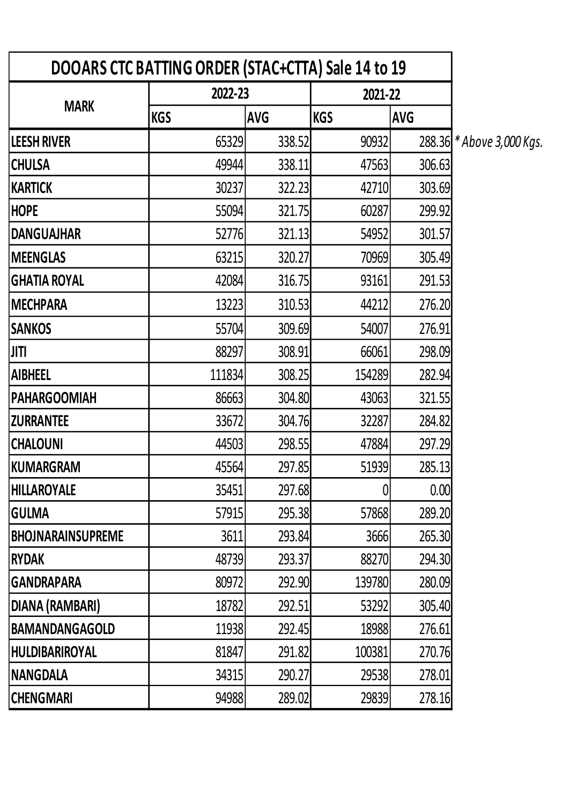| DOOARS CTC BATTING ORDER (STAC+CTTA) Sale 14 to 19 |            |            |                |            |                           |
|----------------------------------------------------|------------|------------|----------------|------------|---------------------------|
|                                                    | 2022-23    |            | 2021-22        |            |                           |
| <b>MARK</b>                                        | <b>KGS</b> | <b>AVG</b> | <b>KGS</b>     | <b>AVG</b> |                           |
| <b>LEESH RIVER</b>                                 | 65329      | 338.52     | 90932          |            | 288.36 * Above 3,000 Kgs. |
| <b>CHULSA</b>                                      | 49944      | 338.11     | 47563          | 306.63     |                           |
| KARTICK                                            | 30237      | 322.23     | 42710          | 303.69     |                           |
| <b>HOPE</b>                                        | 55094      | 321.75     | 60287          | 299.92     |                           |
| <b>DANGUAJHAR</b>                                  | 52776      | 321.13     | 54952          | 301.57     |                           |
| <b>MEENGLAS</b>                                    | 63215      | 320.27     | 70969          | 305.49     |                           |
| <b>GHATIA ROYAL</b>                                | 42084      | 316.75     | 93161          | 291.53     |                           |
| <b>MECHPARA</b>                                    | 13223      | 310.53     | 44212          | 276.20     |                           |
| <b>SANKOS</b>                                      | 55704      | 309.69     | 54007          | 276.91     |                           |
| JITI                                               | 88297      | 308.91     | 66061          | 298.09     |                           |
| <b>AIBHEEL</b>                                     | 111834     | 308.25     | 154289         | 282.94     |                           |
| <b>PAHARGOOMIAH</b>                                | 86663      | 304.80     | 43063          | 321.55     |                           |
| <b>ZURRANTEE</b>                                   | 33672      | 304.76     | 32287          | 284.82     |                           |
| <b>CHALOUNI</b>                                    | 44503      | 298.55     | 47884          | 297.29     |                           |
| KUMARGRAM                                          | 45564      | 297.85     | 51939          | 285.13     |                           |
| <b>HILLAROYALE</b>                                 | 35451      | 297.68     | $\overline{0}$ | 0.00       |                           |
| <b>GULMA</b>                                       | 57915      | 295.38     | 57868          | 289.20     |                           |
| <b>BHOJNARAINSUPREME</b>                           | 3611       | 293.84     | 3666           | 265.30     |                           |
| <b>RYDAK</b>                                       | 48739      | 293.37     | 88270          | 294.30     |                           |
| <b>GANDRAPARA</b>                                  | 80972      | 292.90     | 139780         | 280.09     |                           |
| DIANA (RAMBARI)                                    | 18782      | 292.51     | 53292          | 305.40     |                           |
| <b>BAMANDANGAGOLD</b>                              | 11938      | 292.45     | 18988          | 276.61     |                           |
| <b>HULDIBARIROYAL</b>                              | 81847      | 291.82     | 100381         | 270.76     |                           |
| NANGDALA                                           | 34315      | 290.27     | 29538          | 278.01     |                           |
| <b>CHENGMARI</b>                                   | 94988      | 289.02     | 29839          | 278.16     |                           |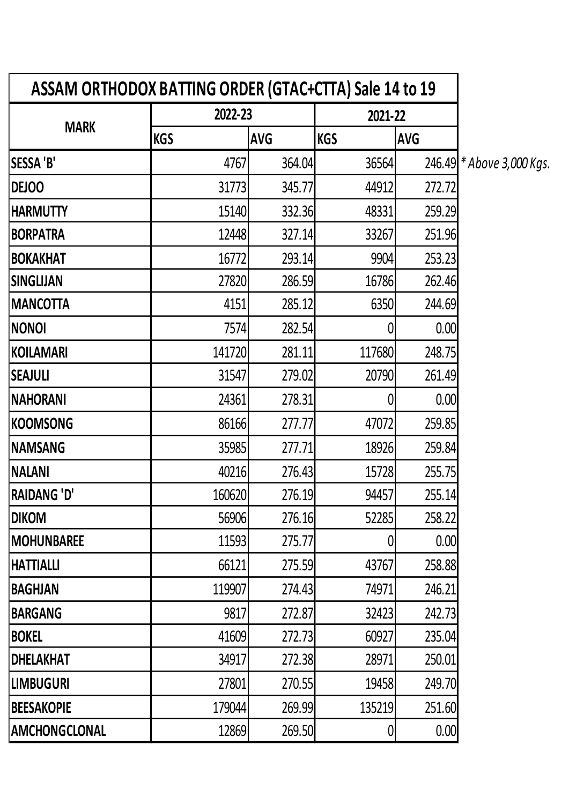| ASSAM ORTHODOX BATTING ORDER (GTAC+CTTA) Sale 14 to 19 |            |            |            |            |                           |
|--------------------------------------------------------|------------|------------|------------|------------|---------------------------|
|                                                        | 2022-23    |            | 2021-22    |            |                           |
| <b>MARK</b>                                            | <b>KGS</b> | <b>AVG</b> | <b>KGS</b> | <b>AVG</b> |                           |
| <b>SESSA 'B'</b>                                       | 4767       | 364.04     | 36564      |            | 246.49 * Above 3,000 Kgs. |
| <b>DEJOO</b>                                           | 31773      | 345.77     | 44912      | 272.72     |                           |
| <b>HARMUTTY</b>                                        | 15140      | 332.36     | 48331      | 259.29     |                           |
| <b>BORPATRA</b>                                        | 12448      | 327.14     | 33267      | 251.96     |                           |
| <b>BOKAKHAT</b>                                        | 16772      | 293.14     | 9904       | 253.23     |                           |
| SINGLIJAN                                              | 27820      | 286.59     | 16786      | 262.46     |                           |
| <b> MANCOTTA</b>                                       | 4151       | 285.12     | 6350       | 244.69     |                           |
| <b>NONOI</b>                                           | 7574       | 282.54     |            | 0.00       |                           |
| KOILAMARI                                              | 141720     | 281.11     | 117680     | 248.75     |                           |
| <b>SEAJULI</b>                                         | 31547      | 279.02     | 20790      | 261.49     |                           |
| <b>NAHORANI</b>                                        | 24361      | 278.31     |            | 0.00       |                           |
| KOOMSONG                                               | 86166      | 277.77     | 47072      | 259.85     |                           |
| <b>NAMSANG</b>                                         | 35985      | 277.71     | 18926      | 259.84     |                           |
| <b>NALANI</b>                                          | 40216      | 276.43     | 15728      | 255.75     |                           |
| <b>RAIDANG 'D'</b>                                     | 160620     | 276.19     | 94457      | 255.14     |                           |
| <b>DIKOM</b>                                           | 56906      | 276.16     | 52285      | 258.22     |                           |
| <b>MOHUNBAREE</b>                                      | 11593      | 275.77     |            | 0.00       |                           |
| <b>HATTIALLI</b>                                       | 66121      | 275.59     | 43767      | 258.88     |                           |
| <b>BAGHJAN</b>                                         | 119907     | 274.43     | 74971      | 246.21     |                           |
| <b>BARGANG</b>                                         | 9817       | 272.87     | 32423      | 242.73     |                           |
| <b>BOKEL</b>                                           | 41609      | 272.73     | 60927      | 235.04     |                           |
| <b>DHELAKHAT</b>                                       | 34917      | 272.38     | 28971      | 250.01     |                           |
| <b>LIMBUGURI</b>                                       | 27801      | 270.55     | 19458      | 249.70     |                           |
| <b>BEESAKOPIE</b>                                      | 179044     | 269.99     | 135219     | 251.60     |                           |
| AMCHONGCLONAL                                          | 12869      | 269.50     |            | 0.00       |                           |